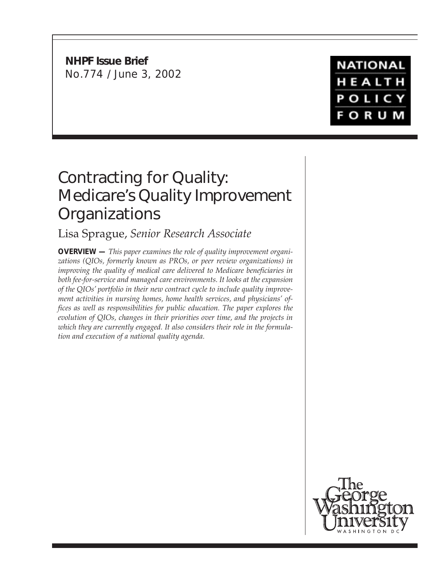**NHPF Issue Brief** No.774 / June 3, 2002



## Contracting for Quality: Medicare's Quality Improvement **Organizations**

## Lisa Sprague, *Senior Research Associate*

**OVERVIEW —** *This paper examines the role of quality improvement organizations (QIOs, formerly known as PROs, or peer review organizations) in improving the quality of medical care delivered to Medicare beneficiaries in both fee-for-service and managed care environments. It looks at the expansion of the QIOs' portfolio in their new contract cycle to include quality improvement activities in nursing homes, home health services, and physicians' offices as well as responsibilities for public education. The paper explores the evolution of QIOs, changes in their priorities over time, and the projects in which they are currently engaged. It also considers their role in the formulation and execution of a national quality agenda.*

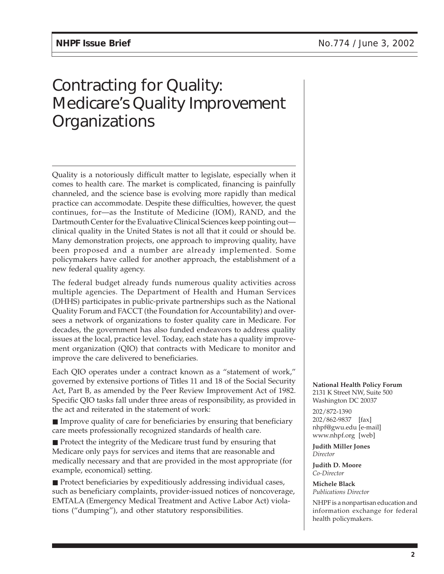# Contracting for Quality: Medicare's Quality Improvement **Organizations**

Quality is a notoriously difficult matter to legislate, especially when it comes to health care. The market is complicated, financing is painfully channeled, and the science base is evolving more rapidly than medical practice can accommodate. Despite these difficulties, however, the quest continues, for—as the Institute of Medicine (IOM), RAND, and the Dartmouth Center for the Evaluative Clinical Sciences keep pointing out clinical quality in the United States is not all that it could or should be. Many demonstration projects, one approach to improving quality, have been proposed and a number are already implemented. Some policymakers have called for another approach, the establishment of a new federal quality agency.

The federal budget already funds numerous quality activities across multiple agencies. The Department of Health and Human Services (DHHS) participates in public-private partnerships such as the National Quality Forum and FACCT (the Foundation for Accountability) and oversees a network of organizations to foster quality care in Medicare. For decades, the government has also funded endeavors to address quality issues at the local, practice level. Today, each state has a quality improvement organization (QIO) that contracts with Medicare to monitor and improve the care delivered to beneficiaries.

Each QIO operates under a contract known as a "statement of work," governed by extensive portions of Titles 11 and 18 of the Social Security Act, Part B, as amended by the Peer Review Improvement Act of 1982. Specific QIO tasks fall under three areas of responsibility, as provided in the act and reiterated in the statement of work:

■ Improve quality of care for beneficiaries by ensuring that beneficiary care meets professionally recognized standards of health care.

■ Protect the integrity of the Medicare trust fund by ensuring that Medicare only pays for services and items that are reasonable and medically necessary and that are provided in the most appropriate (for example, economical) setting.

■ Protect beneficiaries by expeditiously addressing individual cases, such as beneficiary complaints, provider-issued notices of noncoverage, EMTALA (Emergency Medical Treatment and Active Labor Act) violations ("dumping"), and other statutory responsibilities.

**National Health Policy Forum** 2131 K Street NW, Suite 500 Washington DC 20037

202/872-1390 202/862-9837 [fax] nhpf@gwu.edu [e-mail] www.nhpf.org [web]

**Judith Miller Jones** *Director*

**Judith D. Moore** *Co-Director*

**Michele Black** *Publications Director*

NHPF is a nonpartisan education and information exchange for federal health policymakers.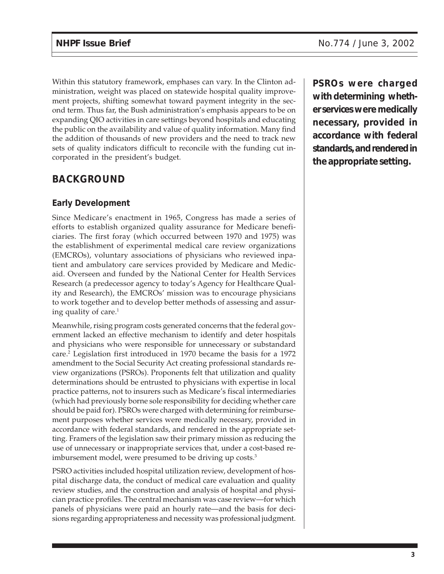Within this statutory framework, emphases can vary. In the Clinton administration, weight was placed on statewide hospital quality improvement projects, shifting somewhat toward payment integrity in the second term. Thus far, the Bush administration's emphasis appears to be on expanding QIO activities in care settings beyond hospitals and educating the public on the availability and value of quality information. Many find the addition of thousands of new providers and the need to track new sets of quality indicators difficult to reconcile with the funding cut incorporated in the president's budget.

## **BACKGROUND**

#### **Early Development**

Since Medicare's enactment in 1965, Congress has made a series of efforts to establish organized quality assurance for Medicare beneficiaries. The first foray (which occurred between 1970 and 1975) was the establishment of experimental medical care review organizations (EMCROs), voluntary associations of physicians who reviewed inpatient and ambulatory care services provided by Medicare and Medicaid. Overseen and funded by the National Center for Health Services Research (a predecessor agency to today's Agency for Healthcare Quality and Research), the EMCROs' mission was to encourage physicians to work together and to develop better methods of assessing and assuring quality of care. $<sup>1</sup>$ </sup>

Meanwhile, rising program costs generated concerns that the federal government lacked an effective mechanism to identify and deter hospitals and physicians who were responsible for unnecessary or substandard care.2 Legislation first introduced in 1970 became the basis for a 1972 amendment to the Social Security Act creating professional standards review organizations (PSROs). Proponents felt that utilization and quality determinations should be entrusted to physicians with expertise in local practice patterns, not to insurers such as Medicare's fiscal intermediaries (which had previously borne sole responsibility for deciding whether care should be paid for). PSROs were charged with determining for reimbursement purposes whether services were medically necessary, provided in accordance with federal standards, and rendered in the appropriate setting. Framers of the legislation saw their primary mission as reducing the use of unnecessary or inappropriate services that, under a cost-based reimbursement model, were presumed to be driving up costs.<sup>3</sup>

PSRO activities included hospital utilization review, development of hospital discharge data, the conduct of medical care evaluation and quality review studies, and the construction and analysis of hospital and physician practice profiles. The central mechanism was case review—for which panels of physicians were paid an hourly rate—and the basis for decisions regarding appropriateness and necessity was professional judgment.

**PSROs were charged with determining whether services were medically necessary, provided in accordance with federal standards, and rendered in the appropriate setting.**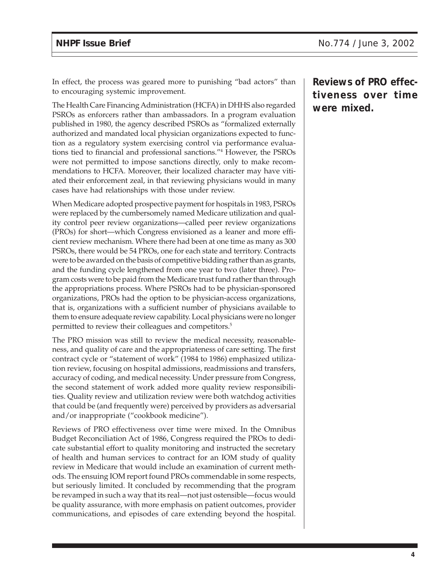In effect, the process was geared more to punishing "bad actors" than to encouraging systemic improvement.

The Health Care Financing Administration (HCFA) in DHHS also regarded PSROs as enforcers rather than ambassadors. In a program evaluation published in 1980, the agency described PSROs as "formalized externally authorized and mandated local physician organizations expected to function as a regulatory system exercising control via performance evaluations tied to financial and professional sanctions."4 However, the PSROs were not permitted to impose sanctions directly, only to make recommendations to HCFA. Moreover, their localized character may have vitiated their enforcement zeal, in that reviewing physicians would in many cases have had relationships with those under review.

When Medicare adopted prospective payment for hospitals in 1983, PSROs were replaced by the cumbersomely named Medicare utilization and quality control peer review organizations—called peer review organizations (PROs) for short—which Congress envisioned as a leaner and more efficient review mechanism. Where there had been at one time as many as 300 PSROs, there would be 54 PROs, one for each state and territory. Contracts were to be awarded on the basis of competitive bidding rather than as grants, and the funding cycle lengthened from one year to two (later three). Program costs were to be paid from the Medicare trust fund rather than through the appropriations process. Where PSROs had to be physician-sponsored organizations, PROs had the option to be physician-access organizations, that is, organizations with a sufficient number of physicians available to them to ensure adequate review capability. Local physicians were no longer permitted to review their colleagues and competitors.<sup>5</sup>

The PRO mission was still to review the medical necessity, reasonableness, and quality of care and the appropriateness of care setting. The first contract cycle or "statement of work" (1984 to 1986) emphasized utilization review, focusing on hospital admissions, readmissions and transfers, accuracy of coding, and medical necessity. Under pressure from Congress, the second statement of work added more quality review responsibilities. Quality review and utilization review were both watchdog activities that could be (and frequently were) perceived by providers as adversarial and/or inappropriate ("cookbook medicine").

Reviews of PRO effectiveness over time were mixed. In the Omnibus Budget Reconciliation Act of 1986, Congress required the PROs to dedicate substantial effort to quality monitoring and instructed the secretary of health and human services to contract for an IOM study of quality review in Medicare that would include an examination of current methods. The ensuing IOM report found PROs commendable in some respects, but seriously limited. It concluded by recommending that the program be revamped in such a way that its real—not just ostensible—focus would be quality assurance, with more emphasis on patient outcomes, provider communications, and episodes of care extending beyond the hospital. **Reviews of PRO effectiveness over time were mixed.**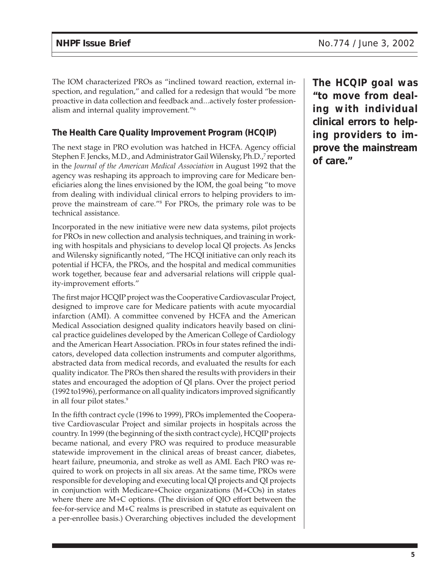The IOM characterized PROs as "inclined toward reaction, external inspection, and regulation," and called for a redesign that would "be more proactive in data collection and feedback and...actively foster professionalism and internal quality improvement."6

#### **The Health Care Quality Improvement Program (HCQIP)**

The next stage in PRO evolution was hatched in HCFA. Agency official Stephen F. Jencks, M.D., and Administrator Gail Wilensky, Ph.D.,<sup>7</sup> reported in the *Journal of the American Medical Association* in August 1992 that the agency was reshaping its approach to improving care for Medicare beneficiaries along the lines envisioned by the IOM, the goal being "to move from dealing with individual clinical errors to helping providers to improve the mainstream of care."8 For PROs, the primary role was to be technical assistance.

Incorporated in the new initiative were new data systems, pilot projects for PROs in new collection and analysis techniques, and training in working with hospitals and physicians to develop local QI projects. As Jencks and Wilensky significantly noted, "The HCQI initiative can only reach its potential if HCFA, the PROs, and the hospital and medical communities work together, because fear and adversarial relations will cripple quality-improvement efforts."

The first major HCQIP project was the Cooperative Cardiovascular Project, designed to improve care for Medicare patients with acute myocardial infarction (AMI). A committee convened by HCFA and the American Medical Association designed quality indicators heavily based on clinical practice guidelines developed by the American College of Cardiology and the American Heart Association. PROs in four states refined the indicators, developed data collection instruments and computer algorithms, abstracted data from medical records, and evaluated the results for each quality indicator. The PROs then shared the results with providers in their states and encouraged the adoption of QI plans. Over the project period (1992 to1996), performance on all quality indicators improved significantly in all four pilot states.<sup>9</sup>

In the fifth contract cycle (1996 to 1999), PROs implemented the Cooperative Cardiovascular Project and similar projects in hospitals across the country. In 1999 (the beginning of the sixth contract cycle), HCQIP projects became national, and every PRO was required to produce measurable statewide improvement in the clinical areas of breast cancer, diabetes, heart failure, pneumonia, and stroke as well as AMI. Each PRO was required to work on projects in all six areas. At the same time, PROs were responsible for developing and executing local QI projects and QI projects in conjunction with Medicare+Choice organizations (M+COs) in states where there are M+C options. (The division of QIO effort between the fee-for-service and M+C realms is prescribed in statute as equivalent on a per-enrollee basis.) Overarching objectives included the development

**The HCQIP goal was "to move from dealing with individual clinical errors to helping providers to improve the mainstream of care."**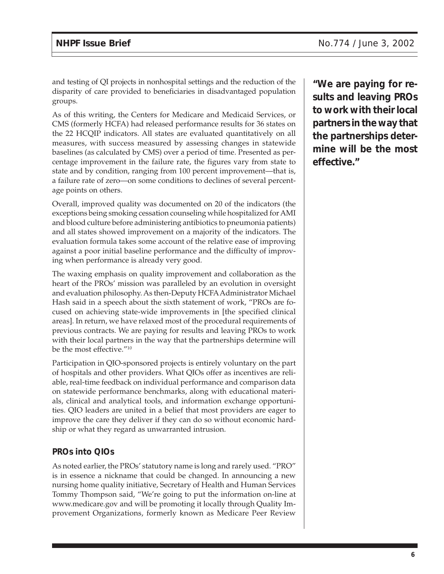and testing of QI projects in nonhospital settings and the reduction of the disparity of care provided to beneficiaries in disadvantaged population groups.

As of this writing, the Centers for Medicare and Medicaid Services, or CMS (formerly HCFA) had released performance results for 36 states on the 22 HCQIP indicators. All states are evaluated quantitatively on all measures, with success measured by assessing changes in statewide baselines (as calculated by CMS) over a period of time. Presented as percentage improvement in the failure rate, the figures vary from state to state and by condition, ranging from 100 percent improvement—that is, a failure rate of zero—on some conditions to declines of several percentage points on others.

Overall, improved quality was documented on 20 of the indicators (the exceptions being smoking cessation counseling while hospitalized for AMI and blood culture before administering antibiotics to pneumonia patients) and all states showed improvement on a majority of the indicators. The evaluation formula takes some account of the relative ease of improving against a poor initial baseline performance and the difficulty of improving when performance is already very good.

The waxing emphasis on quality improvement and collaboration as the heart of the PROs' mission was paralleled by an evolution in oversight and evaluation philosophy. As then-Deputy HCFA Administrator Michael Hash said in a speech about the sixth statement of work, "PROs are focused on achieving state-wide improvements in [the specified clinical areas]. In return, we have relaxed most of the procedural requirements of previous contracts. We are paying for results and leaving PROs to work with their local partners in the way that the partnerships determine will be the most effective."10

Participation in QIO-sponsored projects is entirely voluntary on the part of hospitals and other providers. What QIOs offer as incentives are reliable, real-time feedback on individual performance and comparison data on statewide performance benchmarks, along with educational materials, clinical and analytical tools, and information exchange opportunities. QIO leaders are united in a belief that most providers are eager to improve the care they deliver if they can do so without economic hardship or what they regard as unwarranted intrusion.

#### **PROs into QIOs**

As noted earlier, the PROs' statutory name is long and rarely used. "PRO" is in essence a nickname that could be changed. In announcing a new nursing home quality initiative, Secretary of Health and Human Services Tommy Thompson said, "We're going to put the information on-line at www.medicare.gov and will be promoting it locally through Quality Improvement Organizations, formerly known as Medicare Peer Review

**"We are paying for results and leaving PROs to work with their local partners in the way that the partnerships determine will be the most effective."**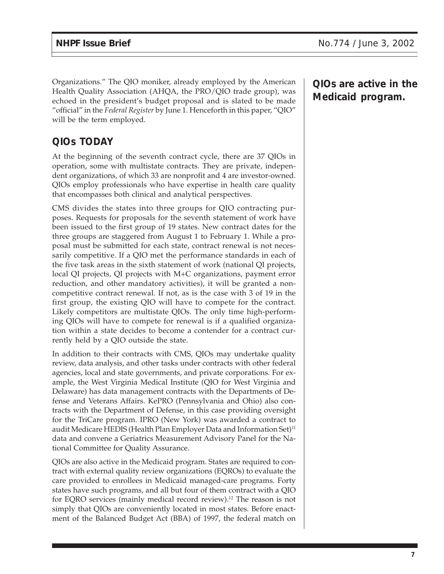Organizations." The QIO moniker, already employed by the American Health Quality Association (AHQA, the PRO/QIO trade group), was echoed in the president's budget proposal and is slated to be made "official" in the *Federal Register* by June 1. Henceforth in this paper, "QIO" will be the term employed.

## **QIOs TODAY**

At the beginning of the seventh contract cycle, there are 37 QIOs in operation, some with multistate contracts. They are private, independent organizations, of which 33 are nonprofit and 4 are investor-owned. QIOs employ professionals who have expertise in health care quality that encompasses both clinical and analytical perspectives.

CMS divides the states into three groups for QIO contracting purposes. Requests for proposals for the seventh statement of work have been issued to the first group of 19 states. New contract dates for the three groups are staggered from August 1 to February 1. While a proposal must be submitted for each state, contract renewal is not necessarily competitive. If a QIO met the performance standards in each of the five task areas in the sixth statement of work (national QI projects, local QI projects, QI projects with M+C organizations, payment error reduction, and other mandatory activities), it will be granted a noncompetitive contract renewal. If not, as is the case with 3 of 19 in the first group, the existing QIO will have to compete for the contract. Likely competitors are multistate QIOs. The only time high-performing QIOs will have to compete for renewal is if a qualified organization within a state decides to become a contender for a contract currently held by a QIO outside the state.

In addition to their contracts with CMS, QIOs may undertake quality review, data analysis, and other tasks under contracts with other federal agencies, local and state governments, and private corporations. For example, the West Virginia Medical Institute (QIO for West Virginia and Delaware) has data management contracts with the Departments of Defense and Veterans Affairs. KePRO (Pennsylvania and Ohio) also contracts with the Department of Defense, in this case providing oversight for the TriCare program. IPRO (New York) was awarded a contract to audit Medicare HEDIS (Health Plan Employer Data and Information Set)<sup>11</sup> data and convene a Geriatrics Measurement Advisory Panel for the National Committee for Quality Assurance.

QIOs are also active in the Medicaid program. States are required to contract with external quality review organizations (EQROs) to evaluate the care provided to enrollees in Medicaid managed-care programs. Forty states have such programs, and all but four of them contract with a QIO for EQRO services (mainly medical record review).12 The reason is not simply that QIOs are conveniently located in most states. Before enactment of the Balanced Budget Act (BBA) of 1997, the federal match on

**QIOs are active in the Medicaid program.**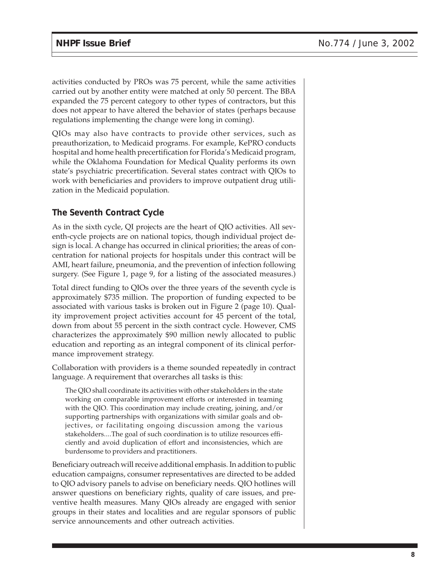activities conducted by PROs was 75 percent, while the same activities carried out by another entity were matched at only 50 percent. The BBA expanded the 75 percent category to other types of contractors, but this does not appear to have altered the behavior of states (perhaps because regulations implementing the change were long in coming).

QIOs may also have contracts to provide other services, such as preauthorization, to Medicaid programs. For example, KePRO conducts hospital and home health precertification for Florida's Medicaid program, while the Oklahoma Foundation for Medical Quality performs its own state's psychiatric precertification. Several states contract with QIOs to work with beneficiaries and providers to improve outpatient drug utilization in the Medicaid population.

### **The Seventh Contract Cycle**

As in the sixth cycle, QI projects are the heart of QIO activities. All seventh-cycle projects are on national topics, though individual project design is local. A change has occurred in clinical priorities; the areas of concentration for national projects for hospitals under this contract will be AMI, heart failure, pneumonia, and the prevention of infection following surgery. (See Figure 1, page 9, for a listing of the associated measures.)

Total direct funding to QIOs over the three years of the seventh cycle is approximately \$735 million. The proportion of funding expected to be associated with various tasks is broken out in Figure 2 (page 10). Quality improvement project activities account for 45 percent of the total, down from about 55 percent in the sixth contract cycle. However, CMS characterizes the approximately \$90 million newly allocated to public education and reporting as an integral component of its clinical performance improvement strategy.

Collaboration with providers is a theme sounded repeatedly in contract language. A requirement that overarches all tasks is this:

The QIO shall coordinate its activities with other stakeholders in the state working on comparable improvement efforts or interested in teaming with the QIO. This coordination may include creating, joining, and/or supporting partnerships with organizations with similar goals and objectives, or facilitating ongoing discussion among the various stakeholders....The goal of such coordination is to utilize resources efficiently and avoid duplication of effort and inconsistencies, which are burdensome to providers and practitioners.

Beneficiary outreach will receive additional emphasis. In addition to public education campaigns, consumer representatives are directed to be added to QIO advisory panels to advise on beneficiary needs. QIO hotlines will answer questions on beneficiary rights, quality of care issues, and preventive health measures. Many QIOs already are engaged with senior groups in their states and localities and are regular sponsors of public service announcements and other outreach activities.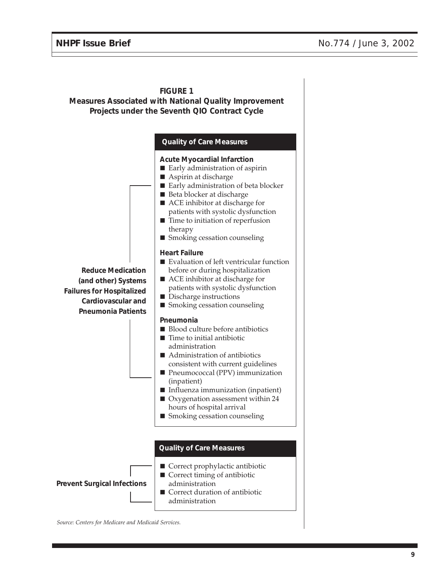#### **FIGURE 1 Measures Associated with National Quality Improvement Projects under the Seventh QIO Contract Cycle** ■ Correct prophylactic antibiotic ■ Correct timing of antibiotic administration ■ Correct duration of antibiotic administration **Quality of Care Measures Prevent Surgical Infections Quality of Care Measures Acute Myocardial Infarction** ■ Early administration of aspirin ■ Aspirin at discharge ■ Early administration of beta blocker ■ Beta blocker at discharge ■ ACE inhibitor at discharge for patients with systolic dysfunction ■ Time to initiation of reperfusion therapy ■ Smoking cessation counseling **Heart Failure** ■ Evaluation of left ventricular function before or during hospitalization ■ ACE inhibitor at discharge for patients with systolic dysfunction ■ Discharge instructions ■ Smoking cessation counseling **Pneumonia** ■ Blood culture before antibiotics ■ Time to initial antibiotic administration ■ Administration of antibiotics consistent with current guidelines ■ Pneumococcal (PPV) immunization (inpatient) ■ Influenza immunization (inpatient) ■ Oxygenation assessment within 24 hours of hospital arrival ■ Smoking cessation counseling **Reduce Medication (and other) Systems Failures for Hospitalized Cardiovascular and Pneumonia Patients**

*Source: Centers for Medicare and Medicaid Services.*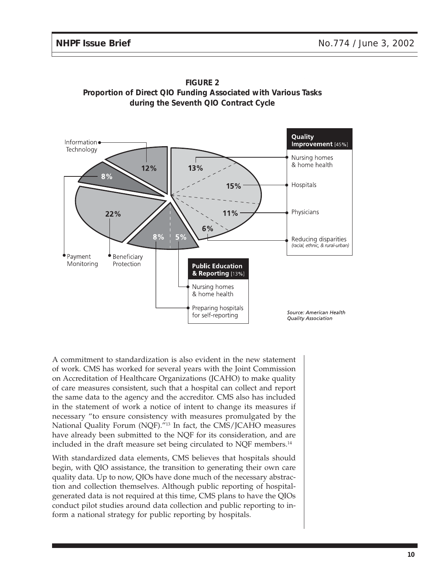



A commitment to standardization is also evident in the new statement of work. CMS has worked for several years with the Joint Commission on Accreditation of Healthcare Organizations (JCAHO) to make quality of care measures consistent, such that a hospital can collect and report the same data to the agency and the accreditor. CMS also has included in the statement of work a notice of intent to change its measures if necessary "to ensure consistency with measures promulgated by the National Quality Forum (NQF)."13 In fact, the CMS/JCAHO measures have already been submitted to the NQF for its consideration, and are included in the draft measure set being circulated to NQF members.<sup>14</sup>

With standardized data elements, CMS believes that hospitals should begin, with QIO assistance, the transition to generating their own care quality data. Up to now, QIOs have done much of the necessary abstraction and collection themselves. Although public reporting of hospitalgenerated data is not required at this time, CMS plans to have the QIOs conduct pilot studies around data collection and public reporting to inform a national strategy for public reporting by hospitals.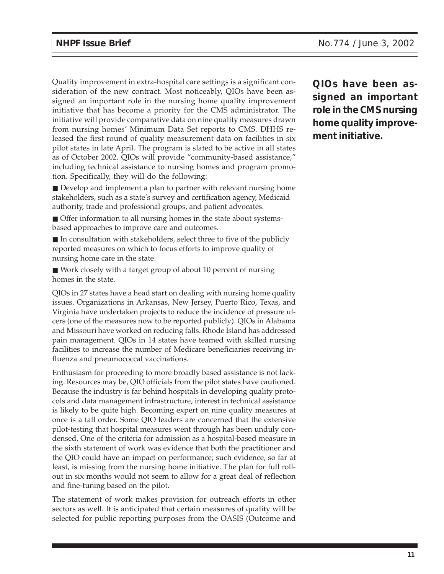Quality improvement in extra-hospital care settings is a significant consideration of the new contract. Most noticeably, QIOs have been assigned an important role in the nursing home quality improvement initiative that has become a priority for the CMS administrator. The initiative will provide comparative data on nine quality measures drawn from nursing homes' Minimum Data Set reports to CMS. DHHS released the first round of quality measurement data on facilities in six pilot states in late April. The program is slated to be active in all states as of October 2002. QIOs will provide "community-based assistance," including technical assistance to nursing homes and program promotion. Specifically, they will do the following:

■ Develop and implement a plan to partner with relevant nursing home stakeholders, such as a state's survey and certification agency, Medicaid authority, trade and professional groups, and patient advocates.

■ Offer information to all nursing homes in the state about systemsbased approaches to improve care and outcomes.

■ In consultation with stakeholders, select three to five of the publicly reported measures on which to focus efforts to improve quality of nursing home care in the state.

■ Work closely with a target group of about 10 percent of nursing homes in the state.

QIOs in 27 states have a head start on dealing with nursing home quality issues. Organizations in Arkansas, New Jersey, Puerto Rico, Texas, and Virginia have undertaken projects to reduce the incidence of pressure ulcers (one of the measures now to be reported publicly). QIOs in Alabama and Missouri have worked on reducing falls. Rhode Island has addressed pain management. QIOs in 14 states have teamed with skilled nursing facilities to increase the number of Medicare beneficiaries receiving influenza and pneumococcal vaccinations.

Enthusiasm for proceeding to more broadly based assistance is not lacking. Resources may be, QIO officials from the pilot states have cautioned. Because the industry is far behind hospitals in developing quality protocols and data management infrastructure, interest in technical assistance is likely to be quite high. Becoming expert on nine quality measures at once is a tall order. Some QIO leaders are concerned that the extensive pilot-testing that hospital measures went through has been unduly condensed. One of the criteria for admission as a hospital-based measure in the sixth statement of work was evidence that both the practitioner and the QIO could have an impact on performance; such evidence, so far at least, is missing from the nursing home initiative. The plan for full rollout in six months would not seem to allow for a great deal of reflection and fine-tuning based on the pilot.

The statement of work makes provision for outreach efforts in other sectors as well. It is anticipated that certain measures of quality will be selected for public reporting purposes from the OASIS (Outcome and

**QIOs have been assigned an important role in the CMS nursing home quality improvement initiative.**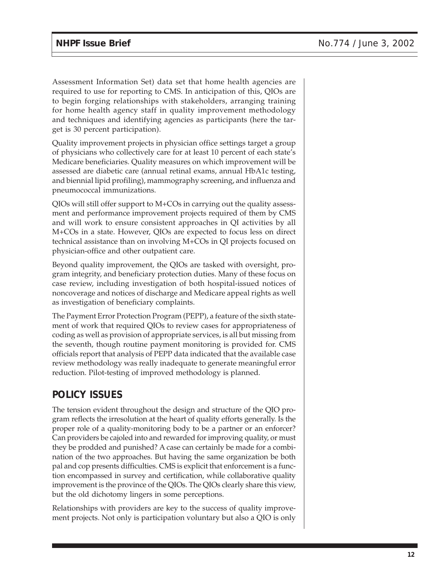Assessment Information Set) data set that home health agencies are required to use for reporting to CMS. In anticipation of this, QIOs are to begin forging relationships with stakeholders, arranging training for home health agency staff in quality improvement methodology and techniques and identifying agencies as participants (here the target is 30 percent participation).

Quality improvement projects in physician office settings target a group of physicians who collectively care for at least 10 percent of each state's Medicare beneficiaries. Quality measures on which improvement will be assessed are diabetic care (annual retinal exams, annual HbA1c testing, and biennial lipid profiling), mammography screening, and influenza and pneumococcal immunizations.

QIOs will still offer support to M+COs in carrying out the quality assessment and performance improvement projects required of them by CMS and will work to ensure consistent approaches in QI activities by all M+COs in a state. However, QIOs are expected to focus less on direct technical assistance than on involving M+COs in QI projects focused on physician-office and other outpatient care.

Beyond quality improvement, the QIOs are tasked with oversight, program integrity, and beneficiary protection duties. Many of these focus on case review, including investigation of both hospital-issued notices of noncoverage and notices of discharge and Medicare appeal rights as well as investigation of beneficiary complaints.

The Payment Error Protection Program (PEPP), a feature of the sixth statement of work that required QIOs to review cases for appropriateness of coding as well as provision of appropriate services, is all but missing from the seventh, though routine payment monitoring is provided for. CMS officials report that analysis of PEPP data indicated that the available case review methodology was really inadequate to generate meaningful error reduction. Pilot-testing of improved methodology is planned.

## **POLICY ISSUES**

The tension evident throughout the design and structure of the QIO program reflects the irresolution at the heart of quality efforts generally. Is the proper role of a quality-monitoring body to be a partner or an enforcer? Can providers be cajoled into and rewarded for improving quality, or must they be prodded and punished? A case can certainly be made for a combination of the two approaches. But having the same organization be both pal and cop presents difficulties. CMS is explicit that enforcement is a function encompassed in survey and certification, while collaborative quality improvement is the province of the QIOs. The QIOs clearly share this view, but the old dichotomy lingers in some perceptions.

Relationships with providers are key to the success of quality improvement projects. Not only is participation voluntary but also a QIO is only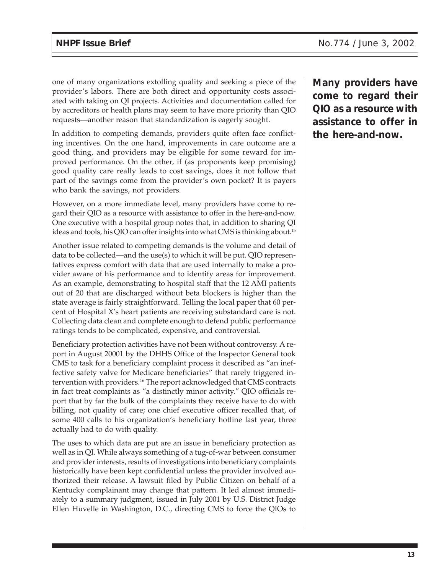one of many organizations extolling quality and seeking a piece of the provider's labors. There are both direct and opportunity costs associated with taking on QI projects. Activities and documentation called for by accreditors or health plans may seem to have more priority than QIO requests—another reason that standardization is eagerly sought.

In addition to competing demands, providers quite often face conflicting incentives. On the one hand, improvements in care outcome are a good thing, and providers may be eligible for some reward for improved performance. On the other, if (as proponents keep promising) good quality care really leads to cost savings, does it not follow that part of the savings come from the provider's own pocket? It is payers who bank the savings, not providers.

However, on a more immediate level, many providers have come to regard their QIO as a resource with assistance to offer in the here-and-now. One executive with a hospital group notes that, in addition to sharing QI ideas and tools, his QIO can offer insights into what CMS is thinking about.15

Another issue related to competing demands is the volume and detail of data to be collected—and the use(s) to which it will be put. QIO representatives express comfort with data that are used internally to make a provider aware of his performance and to identify areas for improvement. As an example, demonstrating to hospital staff that the 12 AMI patients out of 20 that are discharged without beta blockers is higher than the state average is fairly straightforward. Telling the local paper that 60 percent of Hospital X's heart patients are receiving substandard care is not. Collecting data clean and complete enough to defend public performance ratings tends to be complicated, expensive, and controversial.

Beneficiary protection activities have not been without controversy. A report in August 20001 by the DHHS Office of the Inspector General took CMS to task for a beneficiary complaint process it described as "an ineffective safety valve for Medicare beneficiaries" that rarely triggered intervention with providers.<sup>16</sup> The report acknowledged that CMS contracts in fact treat complaints as "a distinctly minor activity." QIO officials report that by far the bulk of the complaints they receive have to do with billing, not quality of care; one chief executive officer recalled that, of some 400 calls to his organization's beneficiary hotline last year, three actually had to do with quality.

The uses to which data are put are an issue in beneficiary protection as well as in QI. While always something of a tug-of-war between consumer and provider interests, results of investigations into beneficiary complaints historically have been kept confidential unless the provider involved authorized their release. A lawsuit filed by Public Citizen on behalf of a Kentucky complainant may change that pattern. It led almost immediately to a summary judgment, issued in July 2001 by U.S. District Judge Ellen Huvelle in Washington, D.C., directing CMS to force the QIOs to

**Many providers have come to regard their QIO as a resource with assistance to offer in the here-and-now.**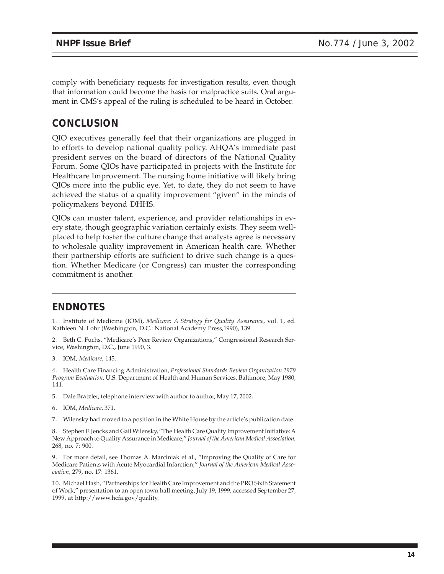comply with beneficiary requests for investigation results, even though that information could become the basis for malpractice suits. Oral argument in CMS's appeal of the ruling is scheduled to be heard in October.

## **CONCLUSION**

QIO executives generally feel that their organizations are plugged in to efforts to develop national quality policy. AHQA's immediate past president serves on the board of directors of the National Quality Forum. Some QIOs have participated in projects with the Institute for Healthcare Improvement. The nursing home initiative will likely bring QIOs more into the public eye. Yet, to date, they do not seem to have achieved the status of a quality improvement "given" in the minds of policymakers beyond DHHS.

QIOs can muster talent, experience, and provider relationships in every state, though geographic variation certainly exists. They seem wellplaced to help foster the culture change that analysts agree is necessary to wholesale quality improvement in American health care. Whether their partnership efforts are sufficient to drive such change is a question. Whether Medicare (or Congress) can muster the corresponding commitment is another.

### **ENDNOTES**

1. Institute of Medicine (IOM), *Medicare: A Strategy for Quality Assurance,* vol. 1, ed. Kathleen N. Lohr (Washington, D.C.: National Academy Press,1990), 139.

2. Beth C. Fuchs, "Medicare's Peer Review Organizations," Congressional Research Service, Washington, D.C., June 1990, 3.

3. IOM, *Medicare*, 145.

4. Health Care Financing Administration, *Professional Standards Review Organization 1979 Program Evaluation,* U.S. Department of Health and Human Services, Baltimore, May 1980, 141.

- 5. Dale Bratzler, telephone interview with author to author, May 17, 2002.
- 6. IOM, *Medicare*, 371.
- 7. Wilensky had moved to a position in the White House by the article's publication date.

8. Stephen F. Jencks and Gail Wilensky, "The Health Care Quality Improvement Initiative: A New Approach to Quality Assurance in Medicare," *Journal of the American Medical Association,* 268, no. 7: 900.

9. For more detail, see Thomas A. Marciniak et al., "Improving the Quality of Care for Medicare Patients with Acute Myocardial Infarction," *Journal of the American Medical Association,* 279, no. 17: 1361.

10. Michael Hash, "Partnerships for Health Care Improvement and the PRO Sixth Statement of Work," presentation to an open town hall meeting, July 19, 1999; accessed September 27, 1999, at http://www.hcfa.gov/quality.